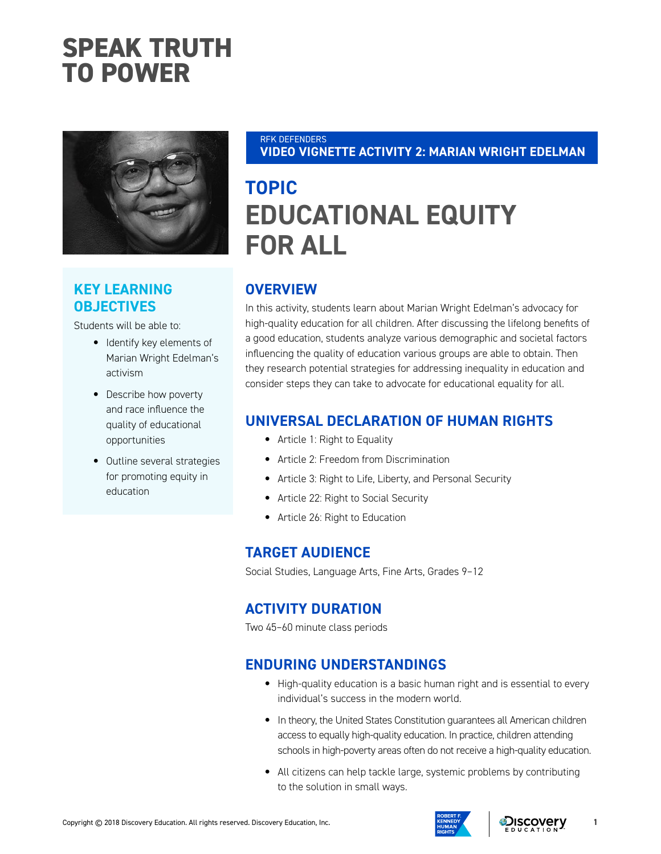# **SPEAK TRUTH TO POWER**



## **KEY LEARNING OBJECTIVES**

Students will be able to:

- Identify key elements of Marian Wright Edelman's activism
- Describe how poverty and race influence the quality of educational opportunities
- Outline several strategies for promoting equity in education

#### RFK DEFENDERS **VIDEO VIGNETTE ACTIVITY 2: MARIAN WRIGHT EDELMAN**

## **TOPIC EDUCATIONAL EQUITY FOR ALL**

## **OVERVIEW**

In this activity, students learn about Marian Wright Edelman's advocacy for high-quality education for all children. After discussing the lifelong benefits of a good education, students analyze various demographic and societal factors influencing the quality of education various groups are able to obtain. Then they research potential strategies for addressing inequality in education and consider steps they can take to advocate for educational equality for all.

#### **UNIVERSAL DECLARATION OF HUMAN RIGHTS**

- Article 1: Right to Equality
- Article 2: Freedom from Discrimination
- Article 3: Right to Life, Liberty, and Personal Security
- Article 22: Right to Social Security
- Article 26: Right to Education

#### **TARGET AUDIENCE**

Social Studies, Language Arts, Fine Arts, Grades 9–12

### **ACTIVITY DURATION**

Two 45–60 minute class periods

#### **ENDURING UNDERSTANDINGS**

- High-quality education is a basic human right and is essential to every individual's success in the modern world.
- In theory, the United States Constitution guarantees all American children access to equally high-quality education. In practice, children attending schools in high-poverty areas often do not receive a high-quality education.
- All citizens can help tackle large, systemic problems by contributing to the solution in small ways.





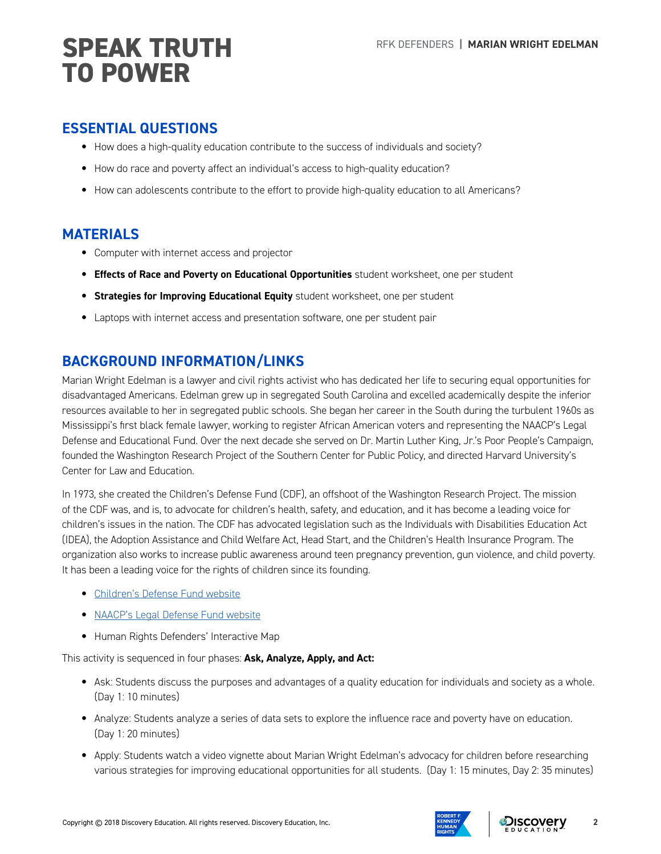# **SPEAK TRUTH** REK DEFENDERS | MARIAN WRIGHT EDELMAN **TO POWER**

#### **ESSENTIAL QUESTIONS**

- How does a high-quality education contribute to the success of individuals and society?
- How do race and poverty affect an individual's access to high-quality education?
- How can adolescents contribute to the effort to provide high-quality education to all Americans?

#### **MATERIALS**

- Computer with internet access and projector
- **Effects of Race and Poverty on Educational Opportunities** student worksheet, one per student
- **Strategies for Improving Educational Equity** student worksheet, one per student
- Laptops with internet access and presentation software, one per student pair

## **BACKGROUND INFORMATION/LINKS**

Marian Wright Edelman is a lawyer and civil rights activist who has dedicated her life to securing equal opportunities for disadvantaged Americans. Edelman grew up in segregated South Carolina and excelled academically despite the inferior resources available to her in segregated public schools. She began her career in the South during the turbulent 1960s as Mississippi's first black female lawyer, working to register African American voters and representing the NAACP's Legal Defense and Educational Fund. Over the next decade she served on Dr. Martin Luther King, Jr.'s Poor People's Campaign, founded the Washington Research Project of the Southern Center for Public Policy, and directed Harvard University's Center for Law and Education.

In 1973, she created the Children's Defense Fund (CDF), an offshoot of the Washington Research Project. The mission of the CDF was, and is, to advocate for children's health, safety, and education, and it has become a leading voice for children's issues in the nation. The CDF has advocated legislation such as the Individuals with Disabilities Education Act (IDEA), the Adoption Assistance and Child Welfare Act, Head Start, and the Children's Health Insurance Program. The organization also works to increase public awareness around teen pregnancy prevention, gun violence, and child poverty. It has been a leading voice for the rights of children since its founding.

- [Children's Defense Fund website](http://www.childrensdefense.org/about/)
- [NAACP's Legal Defense Fund website](https://naacplegaldefensefund.org/landing/support/join-the-fight.php?track=DUXXXGSA&utm_source=gsob&utm_medium=cpc&utm_campaign=sem&gclid=Cj0KCQjwmPPYBRCgARIsALOziAO8qo26f2PCw9kh38QJj8eOAByjt7wSNVGNnVIGFmSn-98pYfxFKsIaAiMqEALw_wcB)
- Human Rights Defenders' Interactive Map

This activity is sequenced in four phases: **Ask, Analyze, Apply, and Act:**

- Ask: Students discuss the purposes and advantages of a quality education for individuals and society as a whole. (Day 1: 10 minutes)
- Analyze: Students analyze a series of data sets to explore the influence race and poverty have on education. (Day 1: 20 minutes)
- Apply: Students watch a video vignette about Marian Wright Edelman's advocacy for children before researching various strategies for improving educational opportunities for all students. (Day 1: 15 minutes, Day 2: 35 minutes)



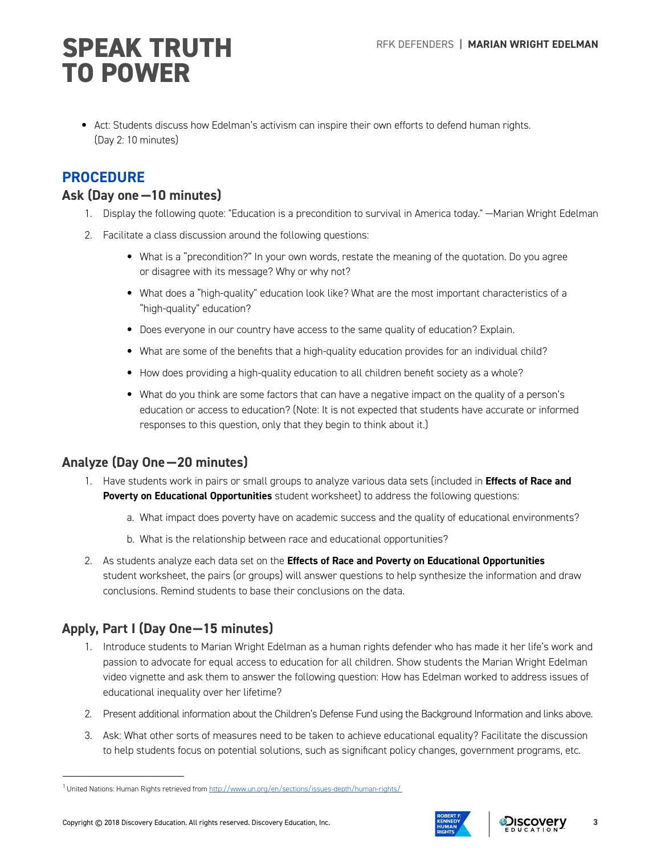# **SPEAK TRUTH** REK DEFENDERS | MARIAN WRIGHT EDELMAN **TO POWER**

• Act: Students discuss how Edelman's activism can inspire their own efforts to defend human rights. (Day 2: 10 minutes)

### **PROCEDURE**

#### **Ask (Day one —10 minutes)**

- 1. Display the following quote: "Education is a precondition to survival in America today." —Marian Wright Edelman
- 2. Facilitate a class discussion around the following questions:
	- What is a "precondition?" In your own words, restate the meaning of the quotation. Do you agree or disagree with its message? Why or why not?
	- What does a "high-quality" education look like? What are the most important characteristics of a "high-quality" education?
	- Does everyone in our country have access to the same quality of education? Explain.
	- What are some of the benefits that a high-quality education provides for an individual child?
	- How does providing a high-quality education to all children benefit society as a whole?
	- What do you think are some factors that can have a negative impact on the quality of a person's education or access to education? (Note: It is not expected that students have accurate or informed responses to this question, only that they begin to think about it.)

### **Analyze (Day One—20 minutes)**

- 1. Have students work in pairs or small groups to analyze various data sets (included in **Effects of Race and Poverty on Educational Opportunities** student worksheet) to address the following questions:
	- a. What impact does poverty have on academic success and the quality of educational environments?
	- b. What is the relationship between race and educational opportunities?
- 2. As students analyze each data set on the **Effects of Race and Poverty on Educational Opportunities** student worksheet, the pairs (or groups) will answer questions to help synthesize the information and draw conclusions. Remind students to base their conclusions on the data.

## **Apply, Part I (Day One—15 minutes)**

- 1. Introduce students to Marian Wright Edelman as a human rights defender who has made it her life's work and passion to advocate for equal access to education for all children. Show students the Marian Wright Edelman video vignette and ask them to answer the following question: How has Edelman worked to address issues of educational inequality over her lifetime?
- 2. Present additional information about the Children's Defense Fund using the Background Information and links above.
- 3. Ask: What other sorts of measures need to be taken to achieve educational equality? Facilitate the discussion to help students focus on potential solutions, such as significant policy changes, government programs, etc.



<sup>1</sup> United Nations: Human Rights retrieved from <http://www.un.org/en/sections/issues-depth/human-rights/>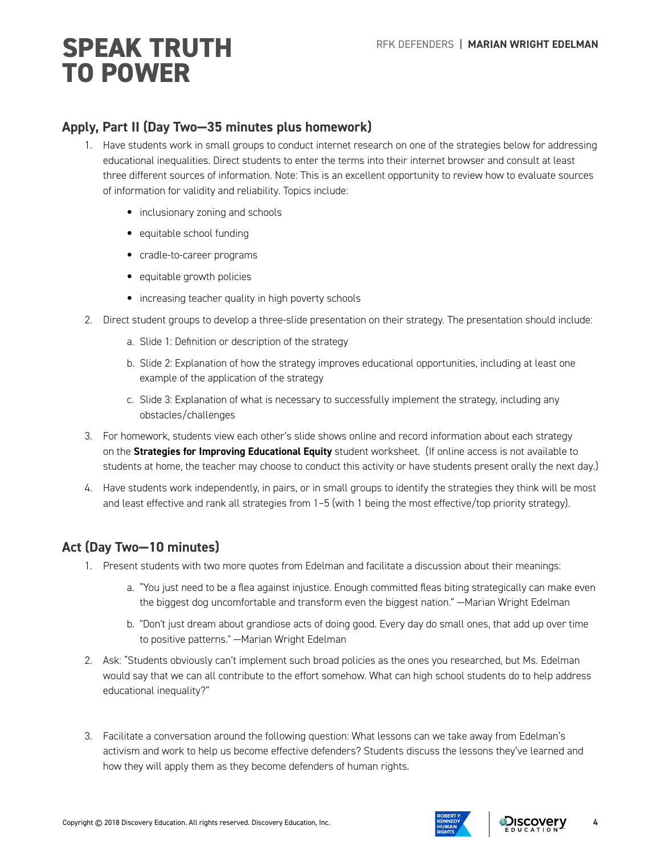# RFK DEFENDERS **| MARIAN WRIGHT EDELMAN SPEAK TRUTH TO POWER**

#### **Apply, Part II (Day Two—35 minutes plus homework)**

- 1. Have students work in small groups to conduct internet research on one of the strategies below for addressing educational inequalities. Direct students to enter the terms into their internet browser and consult at least three different sources of information. Note: This is an excellent opportunity to review how to evaluate sources of information for validity and reliability. Topics include:
	- inclusionary zoning and schools
	- equitable school funding
	- cradle-to-career programs
	- equitable growth policies
	- increasing teacher quality in high poverty schools
- 2. Direct student groups to develop a three-slide presentation on their strategy. The presentation should include:
	- a. Slide 1: Definition or description of the strategy
	- b. Slide 2: Explanation of how the strategy improves educational opportunities, including at least one example of the application of the strategy
	- c. Slide 3: Explanation of what is necessary to successfully implement the strategy, including any obstacles/challenges
- 3. For homework, students view each other's slide shows online and record information about each strategy on the **Strategies for Improving Educational Equity** student worksheet. (If online access is not available to students at home, the teacher may choose to conduct this activity or have students present orally the next day.)
- 4. Have students work independently, in pairs, or in small groups to identify the strategies they think will be most and least effective and rank all strategies from 1–5 (with 1 being the most effective/top priority strategy).

### **Act (Day Two—10 minutes)**

- 1. Present students with two more quotes from Edelman and facilitate a discussion about their meanings:
	- a. "You just need to be a flea against injustice. Enough committed fleas biting strategically can make even the biggest dog uncomfortable and transform even the biggest nation." —Marian Wright Edelman
	- b. "Don't just dream about grandiose acts of doing good. Every day do small ones, that add up over time to positive patterns." —Marian Wright Edelman
- 2. Ask: "Students obviously can't implement such broad policies as the ones you researched, but Ms. Edelman would say that we can all contribute to the effort somehow. What can high school students do to help address educational inequality?"
- 3. Facilitate a conversation around the following question: What lessons can we take away from Edelman's activism and work to help us become effective defenders? Students discuss the lessons they've learned and how they will apply them as they become defenders of human rights.





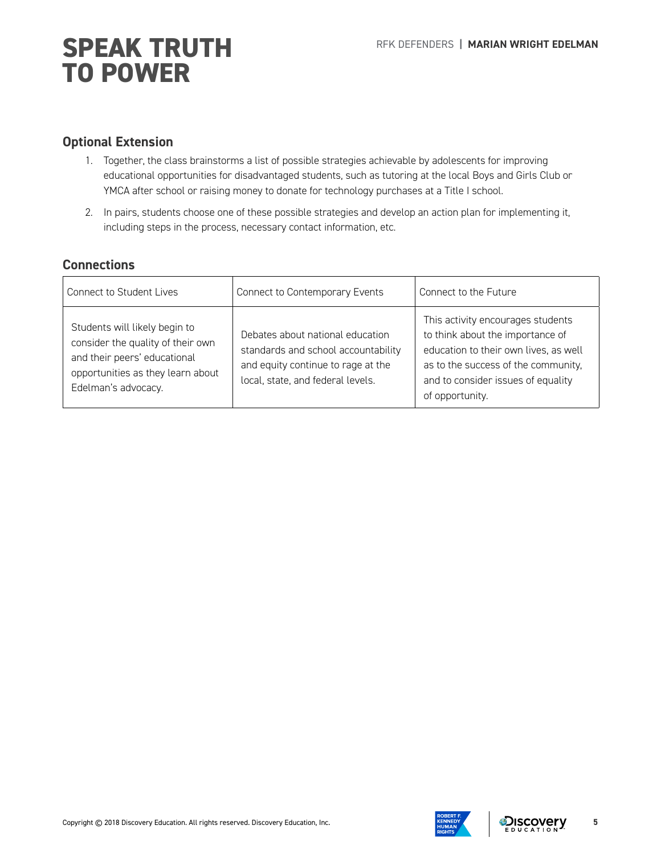# SPEAK TRUTH **SPEAK TRUTH TO POWER**

#### **Optional Extension**

- 1. Together, the class brainstorms a list of possible strategies achievable by adolescents for improving educational opportunities for disadvantaged students, such as tutoring at the local Boys and Girls Club or YMCA after school or raising money to donate for technology purchases at a Title I school.
- 2. In pairs, students choose one of these possible strategies and develop an action plan for implementing it, including steps in the process, necessary contact information, etc.

#### **Connections**

| <b>Connect to Student Lives</b>                                                                                                                                | Connect to Contemporary Events                                                                                                                     | Connect to the Future                                                                                                                                                                                          |
|----------------------------------------------------------------------------------------------------------------------------------------------------------------|----------------------------------------------------------------------------------------------------------------------------------------------------|----------------------------------------------------------------------------------------------------------------------------------------------------------------------------------------------------------------|
| Students will likely begin to<br>consider the quality of their own<br>and their peers' educational<br>opportunities as they learn about<br>Edelman's advocacy. | Debates about national education<br>standards and school accountability<br>and equity continue to rage at the<br>local, state, and federal levels. | This activity encourages students<br>to think about the importance of<br>education to their own lives, as well<br>as to the success of the community,<br>and to consider issues of equality<br>of opportunity. |

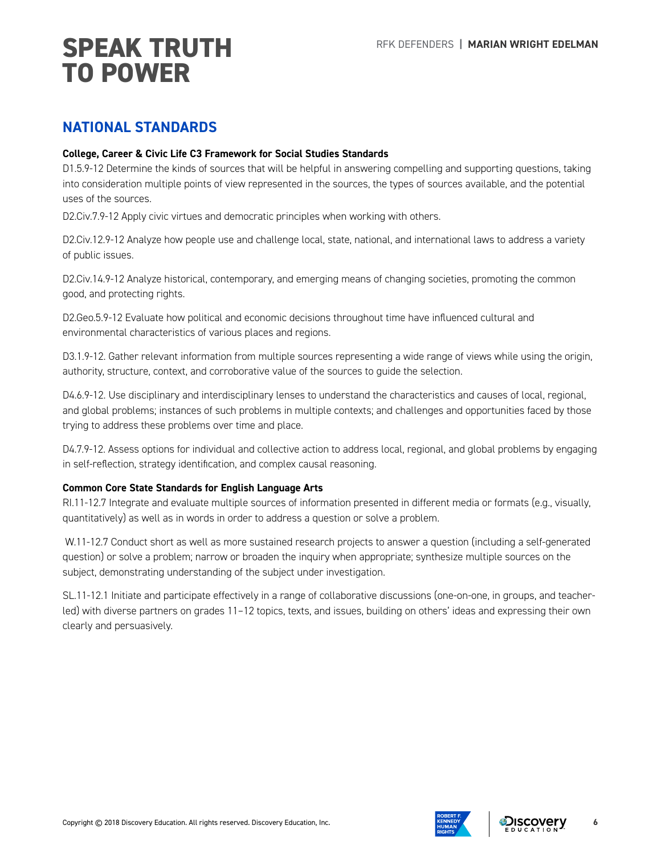# RFK DEFENDERS **| MARIAN WRIGHT EDELMAN SPEAK TRUTH TO POWER**

### **NATIONAL STANDARDS**

#### **College, Career & Civic Life C3 Framework for Social Studies Standards**

D1.5.9-12 Determine the kinds of sources that will be helpful in answering compelling and supporting questions, taking into consideration multiple points of view represented in the sources, the types of sources available, and the potential uses of the sources.

D2.Civ.7.9-12 Apply civic virtues and democratic principles when working with others.

D2.Civ.12.9-12 Analyze how people use and challenge local, state, national, and international laws to address a variety of public issues.

D2.Civ.14.9-12 Analyze historical, contemporary, and emerging means of changing societies, promoting the common good, and protecting rights.

D2.Geo.5.9-12 Evaluate how political and economic decisions throughout time have influenced cultural and environmental characteristics of various places and regions.

D3.1.9-12. Gather relevant information from multiple sources representing a wide range of views while using the origin, authority, structure, context, and corroborative value of the sources to guide the selection.

D4.6.9-12. Use disciplinary and interdisciplinary lenses to understand the characteristics and causes of local, regional, and global problems; instances of such problems in multiple contexts; and challenges and opportunities faced by those trying to address these problems over time and place.

D4.7.9-12. Assess options for individual and collective action to address local, regional, and global problems by engaging in self-reflection, strategy identification, and complex causal reasoning.

#### **Common Core State Standards for English Language Arts**

RI.11-12.7 Integrate and evaluate multiple sources of information presented in different media or formats (e.g., visually, quantitatively) as well as in words in order to address a question or solve a problem.

 W.11-12.7 Conduct short as well as more sustained research projects to answer a question (including a self-generated question) or solve a problem; narrow or broaden the inquiry when appropriate; synthesize multiple sources on the subject, demonstrating understanding of the subject under investigation.

SL.11-12.1 Initiate and participate effectively in a range of collaborative discussions (one-on-one, in groups, and teacherled) with diverse partners on grades 11–12 topics, texts, and issues, building on others' ideas and expressing their own clearly and persuasively.



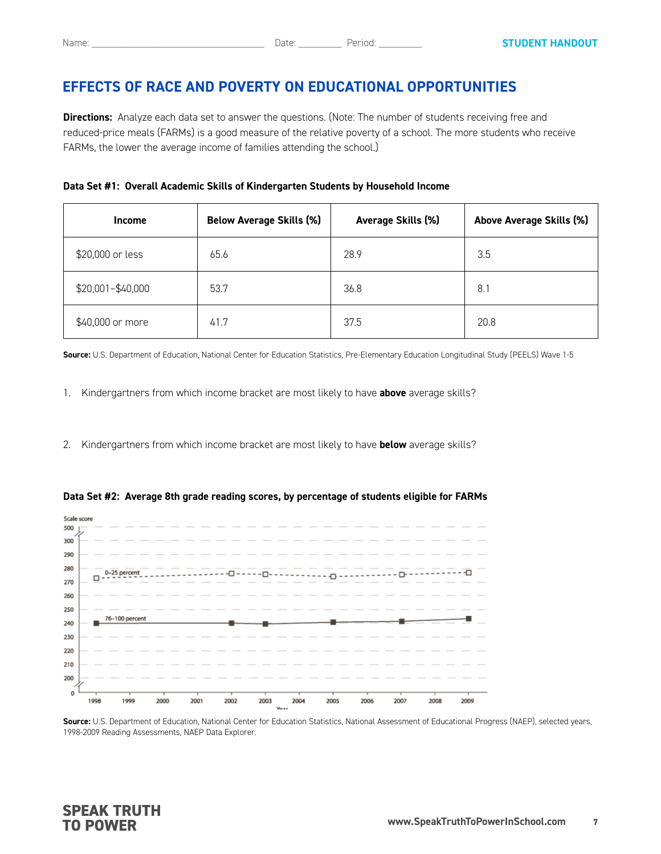**Directions:** Analyze each data set to answer the questions. (Note: The number of students receiving free and reduced-price meals (FARMs) is a good measure of the relative poverty of a school. The more students who receive FARMs, the lower the average income of families attending the school.)

| <b>Income</b>     | <b>Below Average Skills (%)</b> | Average Skills (%) | Above Average Skills (%) |
|-------------------|---------------------------------|--------------------|--------------------------|
| \$20,000 or less  | 65.6                            | 28.9               | 3.5                      |
| \$20,001-\$40,000 | 53.7                            | 36.8               | 8.                       |
| \$40,000 or more  | 41.7                            | 37.5               | 20.8                     |

**Source:** U.S. Department of Education, National Center for Education Statistics, Pre-Elementary Education Longitudinal Study (PEELS) Wave 1-5

- 1. Kindergartners from which income bracket are most likely to have **above** average skills?
- 2. Kindergartners from which income bracket are most likely to have **below** average skills?



**Data Set #2: Average 8th grade reading scores, by percentage of students eligible for FARMs**

**Source:** U.S. Department of Education, National Center for Education Statistics, National Assessment of Educational Progress (NAEP), selected years, 1998-2009 Reading Assessments, NAEP Data Explorer.

#### **SPEAK TRUTH TO POWER**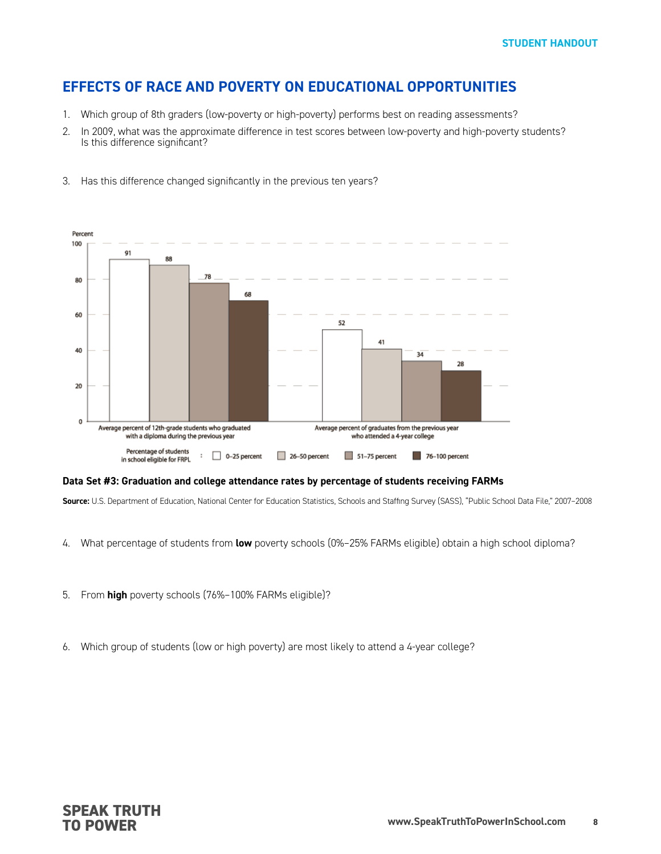- 1. Which group of 8th graders (low-poverty or high-poverty) performs best on reading assessments?
- 2. In 2009, what was the approximate difference in test scores between low-poverty and high-poverty students? Is this difference significant?



3. Has this difference changed significantly in the previous ten years?

#### **Data Set #3: Graduation and college attendance rates by percentage of students receiving FARMs**

**Source:** U.S. Department of Education, National Center for Education Statistics, Schools and Staffing Survey (SASS), "Public School Data File," 2007–2008

- 4. What percentage of students from **low** poverty schools (0%–25% FARMs eligible) obtain a high school diploma?
- 5. From **high** poverty schools (76%–100% FARMs eligible)?
- 6. Which group of students (low or high poverty) are most likely to attend a 4-year college?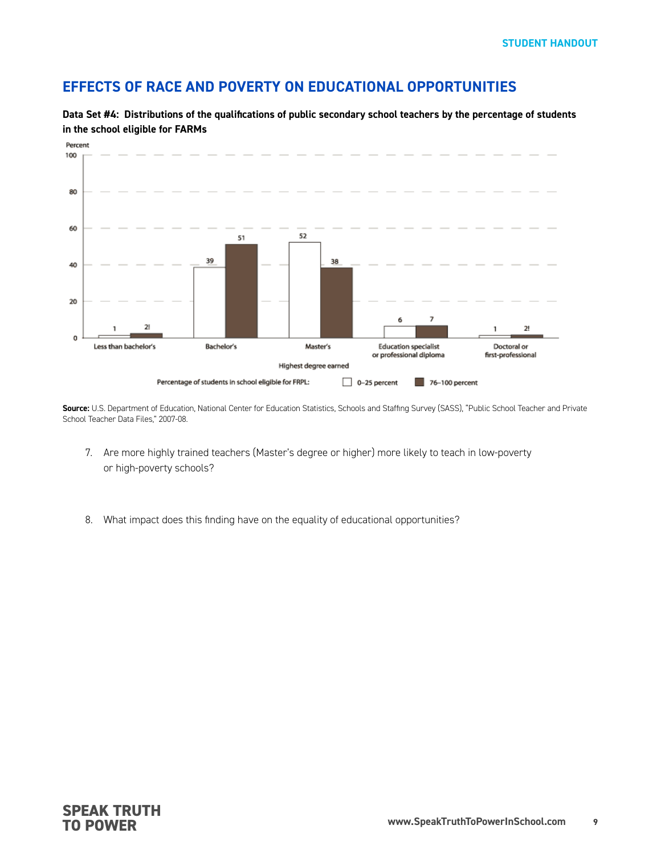

**Data Set #4: Distributions of the qualifications of public secondary school teachers by the percentage of students in the school eligible for FARMs**

**Source:** U.S. Department of Education, National Center for Education Statistics, Schools and Staffing Survey (SASS), "Public School Teacher and Private School Teacher Data Files," 2007-08.

- 7. Are more highly trained teachers (Master's degree or higher) more likely to teach in low-poverty or high-poverty schools?
- 8. What impact does this finding have on the equality of educational opportunities?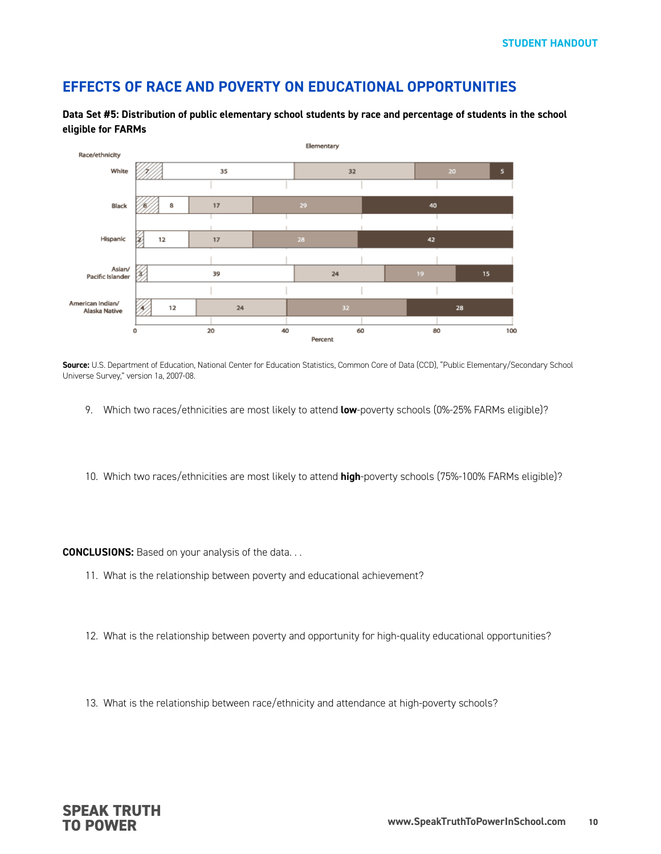**Data Set #5: Distribution of public elementary school students by race and percentage of students in the school eligible for FARMs** 



**Source:** U.S. Department of Education, National Center for Education Statistics, Common Core of Data (CCD), "Public Elementary/Secondary School Universe Survey," version 1a, 2007-08.

- 9. Which two races/ethnicities are most likely to attend **low**-poverty schools (0%-25% FARMs eligible)?
- 10. Which two races/ethnicities are most likely to attend **high**-poverty schools (75%-100% FARMs eligible)?

**CONCLUSIONS:** Based on your analysis of the data. . .

- 11. What is the relationship between poverty and educational achievement?
- 12. What is the relationship between poverty and opportunity for high-quality educational opportunities?
- 13. What is the relationship between race/ethnicity and attendance at high-poverty schools?